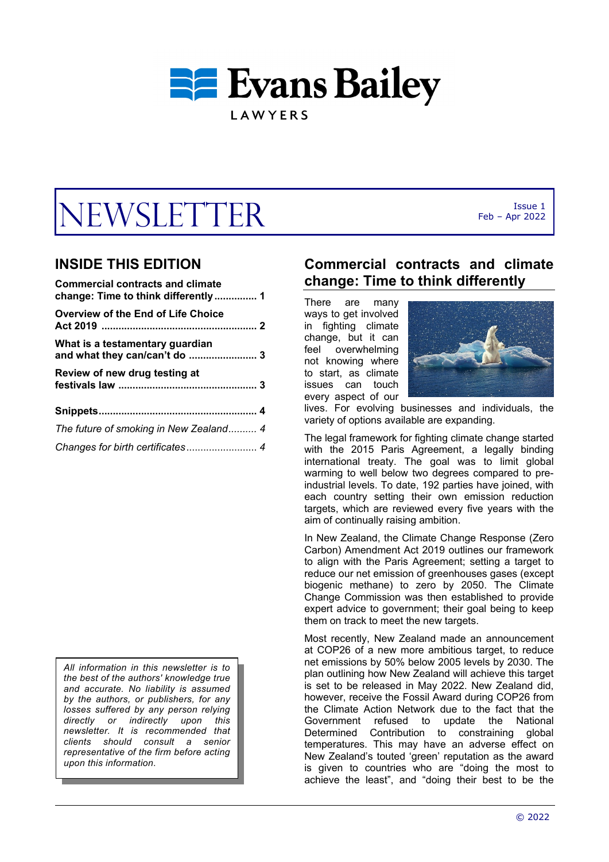

# $WSLETTER$  Feb - Apr 2022

# **INSIDE THIS EDITION**

| <b>Commercial contracts and climate</b> |
|-----------------------------------------|
| Overview of the End of Life Choice      |
| What is a testamentary guardian         |
| Review of new drug testing at           |
|                                         |
| The future of smoking in New Zealand 4  |
| Changes for birth certificates 4        |

*All information in this newsletter is to the best of the authors' knowledge true and accurate. No liability is assumed by the authors, or publishers, for any losses suffered by any person relying directly or indirectly upon this newsletter. It is recommended that clients should consult a senior representative of the firm before acting upon this information*.

# **Commercial contracts and climate change: Time to think differently**

There are many ways to get involved in fighting climate change, but it can feel overwhelming not knowing where to start, as climate issues can touch every aspect of our



Feb – Apr 2022

lives. For evolving businesses and individuals, the variety of options available are expanding.

The legal framework for fighting climate change started with the 2015 Paris Agreement, a legally binding international treaty. The goal was to limit global warming to well below two degrees compared to preindustrial levels. To date, 192 parties have joined, with each country setting their own emission reduction targets, which are reviewed every five years with the aim of continually raising ambition.

In New Zealand, the Climate Change Response (Zero Carbon) Amendment Act 2019 outlines our framework to align with the Paris Agreement; setting a target to reduce our net emission of greenhouses gases (except biogenic methane) to zero by 2050. The Climate Change Commission was then established to provide expert advice to government; their goal being to keep them on track to meet the new targets.

Most recently, New Zealand made an announcement at COP26 of a new more ambitious target, to reduce net emissions by 50% below 2005 levels by 2030. The plan outlining how New Zealand will achieve this target is set to be released in May 2022. New Zealand did, however, receive the Fossil Award during COP26 from the Climate Action Network due to the fact that the Government refused to update the National Determined Contribution to constraining global temperatures. This may have an adverse effect on New Zealand's touted 'green' reputation as the award is given to countries who are "doing the most to achieve the least", and "doing their best to be the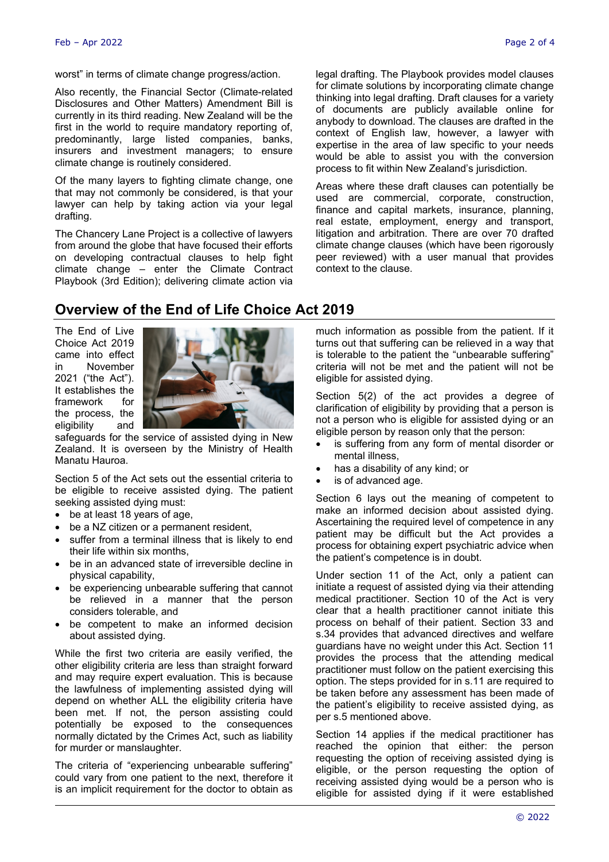worst" in terms of climate change progress/action.

Also recently, the Financial Sector (Climate-related Disclosures and Other Matters) Amendment Bill is currently in its third reading. New Zealand will be the first in the world to require mandatory reporting of, predominantly, large listed companies, banks, insurers and investment managers; to ensure climate change is routinely considered.

Of the many layers to fighting climate change, one that may not commonly be considered, is that your lawyer can help by taking action via your legal drafting.

The Chancery Lane Project is a collective of lawyers from around the globe that have focused their efforts on developing contractual clauses to help fight climate change – enter the Climate Contract Playbook (3rd Edition); delivering climate action via

legal drafting. The Playbook provides model clauses for climate solutions by incorporating climate change thinking into legal drafting. Draft clauses for a variety of documents are publicly available online for anybody to download. The clauses are drafted in the context of English law, however, a lawyer with expertise in the area of law specific to your needs would be able to assist you with the conversion process to fit within New Zealand's jurisdiction.

Areas where these draft clauses can potentially be used are commercial, corporate, construction, finance and capital markets, insurance, planning, real estate, employment, energy and transport, litigation and arbitration. There are over 70 drafted climate change clauses (which have been rigorously peer reviewed) with a user manual that provides context to the clause.

## **Overview of the End of Life Choice Act 2019**

The End of Live Choice Act 2019 came into effect in November 2021 ("the Act"). It establishes the framework for the process, the eligibility and



safeguards for the service of assisted dying in New Zealand. It is overseen by the Ministry of Health Manatu Hauroa.

Section 5 of the Act sets out the essential criteria to be eligible to receive assisted dying. The patient seeking assisted dying must:

- be at least 18 years of age,
- be a NZ citizen or a permanent resident,
- suffer from a terminal illness that is likely to end their life within six months,
- be in an advanced state of irreversible decline in physical capability,
- be experiencing unbearable suffering that cannot be relieved in a manner that the person considers tolerable, and
- be competent to make an informed decision about assisted dying.

While the first two criteria are easily verified, the other eligibility criteria are less than straight forward and may require expert evaluation. This is because the lawfulness of implementing assisted dying will depend on whether ALL the eligibility criteria have been met. If not, the person assisting could potentially be exposed to the consequences normally dictated by the Crimes Act, such as liability for murder or manslaughter.

The criteria of "experiencing unbearable suffering" could vary from one patient to the next, therefore it is an implicit requirement for the doctor to obtain as

much information as possible from the patient. If it turns out that suffering can be relieved in a way that is tolerable to the patient the "unbearable suffering" criteria will not be met and the patient will not be eligible for assisted dying.

Section 5(2) of the act provides a degree of clarification of eligibility by providing that a person is not a person who is eligible for assisted dying or an eligible person by reason only that the person:

- is suffering from any form of mental disorder or mental illness,
- has a disability of any kind; or
- is of advanced age.

Section 6 lays out the meaning of competent to make an informed decision about assisted dying. Ascertaining the required level of competence in any patient may be difficult but the Act provides a process for obtaining expert psychiatric advice when the patient's competence is in doubt.

Under section 11 of the Act, only a patient can initiate a request of assisted dying via their attending medical practitioner. Section 10 of the Act is very clear that a health practitioner cannot initiate this process on behalf of their patient. Section 33 and s.34 provides that advanced directives and welfare guardians have no weight under this Act. Section 11 provides the process that the attending medical practitioner must follow on the patient exercising this option. The steps provided for in s.11 are required to be taken before any assessment has been made of the patient's eligibility to receive assisted dying, as per s.5 mentioned above.

Section 14 applies if the medical practitioner has reached the opinion that either: the person requesting the option of receiving assisted dying is eligible, or the person requesting the option of receiving assisted dying would be a person who is eligible for assisted dying if it were established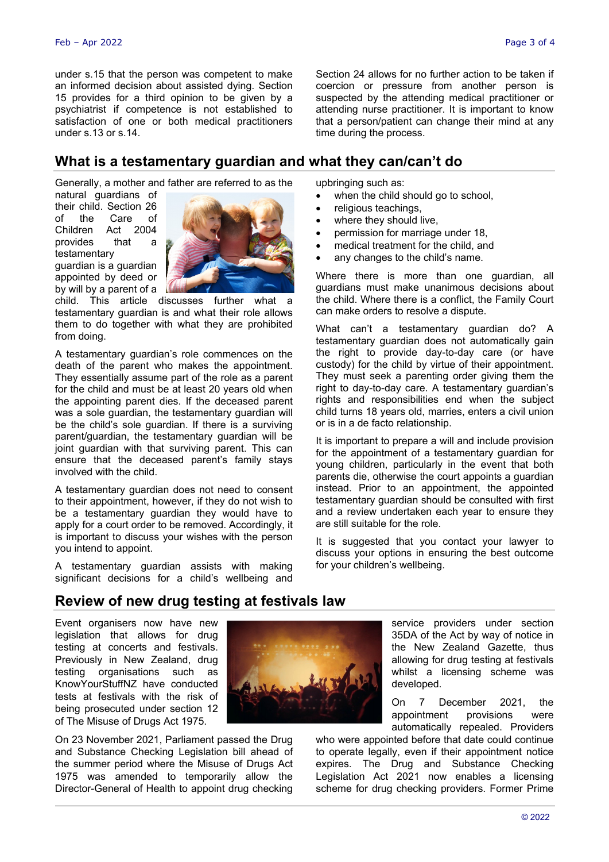under s.15 that the person was competent to make an informed decision about assisted dying. Section 15 provides for a third opinion to be given by a psychiatrist if competence is not established to satisfaction of one or both medical practitioners under s.13 or s.14.

**What is a testamentary guardian and what they can/can't do**

Generally, a mother and father are referred to as the

natural guardians of their child. Section 26 of the Care of Children Act 2004 provides that a testamentary guardian is a guardian appointed by deed or by will by a parent of a



child. This article discusses further what a testamentary guardian is and what their role allows them to do together with what they are prohibited from doing.

A testamentary guardian's role commences on the death of the parent who makes the appointment. They essentially assume part of the role as a parent for the child and must be at least 20 years old when the appointing parent dies. If the deceased parent was a sole guardian, the testamentary guardian will be the child's sole guardian. If there is a surviving parent/guardian, the testamentary guardian will be joint guardian with that surviving parent. This can ensure that the deceased parent's family stays involved with the child.

A testamentary guardian does not need to consent to their appointment, however, if they do not wish to be a testamentary guardian they would have to apply for a court order to be removed. Accordingly, it is important to discuss your wishes with the person you intend to appoint.

A testamentary guardian assists with making significant decisions for a child's wellbeing and upbringing such as:

- when the child should go to school,
- religious teachings,

time during the process.

- where they should live,
- permission for marriage under 18,
- medical treatment for the child, and
- any changes to the child's name.

Where there is more than one quardian, all guardians must make unanimous decisions about the child. Where there is a conflict, the Family Court can make orders to resolve a dispute.

Section 24 allows for no further action to be taken if coercion or pressure from another person is suspected by the attending medical practitioner or attending nurse practitioner. It is important to know that a person/patient can change their mind at any

What can't a testamentary guardian do? A testamentary guardian does not automatically gain the right to provide day-to-day care (or have custody) for the child by virtue of their appointment. They must seek a parenting order giving them the right to day-to-day care. A testamentary guardian's rights and responsibilities end when the subject child turns 18 years old, marries, enters a civil union or is in a de facto relationship.

It is important to prepare a will and include provision for the appointment of a testamentary guardian for young children, particularly in the event that both parents die, otherwise the court appoints a guardian instead. Prior to an appointment, the appointed testamentary guardian should be consulted with first and a review undertaken each year to ensure they are still suitable for the role.

It is suggested that you contact your lawyer to discuss your options in ensuring the best outcome for your children's wellbeing.

## **Review of new drug testing at festivals law**

Event organisers now have new legislation that allows for drug testing at concerts and festivals. Previously in New Zealand, drug testing organisations such as KnowYourStuffNZ have conducted tests at festivals with the risk of being prosecuted under section 12 of The Misuse of Drugs Act 1975.

On 23 November 2021, Parliament passed the Drug and Substance Checking Legislation bill ahead of the summer period where the Misuse of Drugs Act 1975 was amended to temporarily allow the Director-General of Health to appoint drug checking



service providers under section 35DA of the Act by way of notice in the New Zealand Gazette, thus allowing for drug testing at festivals whilst a licensing scheme was developed.

On 7 December 2021, the appointment provisions were automatically repealed. Providers

who were appointed before that date could continue to operate legally, even if their appointment notice expires. The Drug and Substance Checking Legislation Act 2021 now enables a licensing scheme for drug checking providers. Former Prime